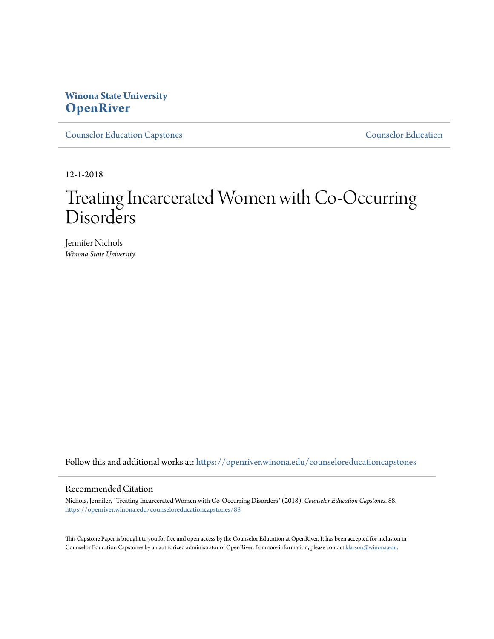## **Winona State University [OpenRiver](https://openriver.winona.edu?utm_source=openriver.winona.edu%2Fcounseloreducationcapstones%2F88&utm_medium=PDF&utm_campaign=PDFCoverPages)**

[Counselor Education Capstones](https://openriver.winona.edu/counseloreducationcapstones?utm_source=openriver.winona.edu%2Fcounseloreducationcapstones%2F88&utm_medium=PDF&utm_campaign=PDFCoverPages) [Counselor Education](https://openriver.winona.edu/counseloreducation?utm_source=openriver.winona.edu%2Fcounseloreducationcapstones%2F88&utm_medium=PDF&utm_campaign=PDFCoverPages)

12-1-2018

# Treating Incarcerated Women with Co-Occurring Disorders

Jennifer Nichols *Winona State University*

Follow this and additional works at: [https://openriver.winona.edu/counseloreducationcapstones](https://openriver.winona.edu/counseloreducationcapstones?utm_source=openriver.winona.edu%2Fcounseloreducationcapstones%2F88&utm_medium=PDF&utm_campaign=PDFCoverPages)

#### Recommended Citation

Nichols, Jennifer, "Treating Incarcerated Women with Co-Occurring Disorders" (2018). *Counselor Education Capstones*. 88. [https://openriver.winona.edu/counseloreducationcapstones/88](https://openriver.winona.edu/counseloreducationcapstones/88?utm_source=openriver.winona.edu%2Fcounseloreducationcapstones%2F88&utm_medium=PDF&utm_campaign=PDFCoverPages)

This Capstone Paper is brought to you for free and open access by the Counselor Education at OpenRiver. It has been accepted for inclusion in Counselor Education Capstones by an authorized administrator of OpenRiver. For more information, please contact [klarson@winona.edu](mailto:klarson@winona.edu).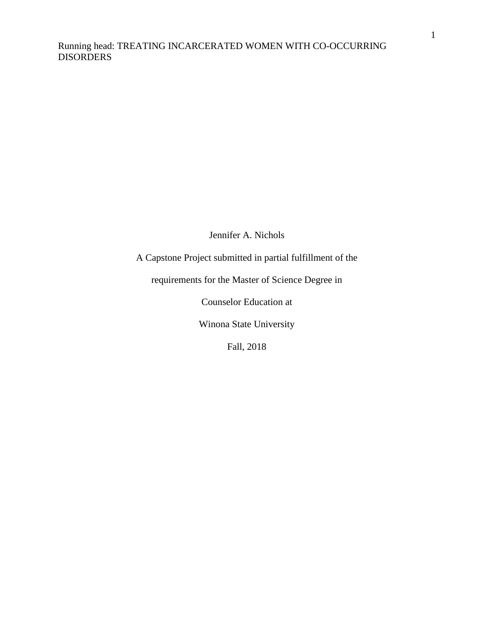Jennifer A. Nichols

A Capstone Project submitted in partial fulfillment of the

requirements for the Master of Science Degree in

Counselor Education at

Winona State University

Fall, 2018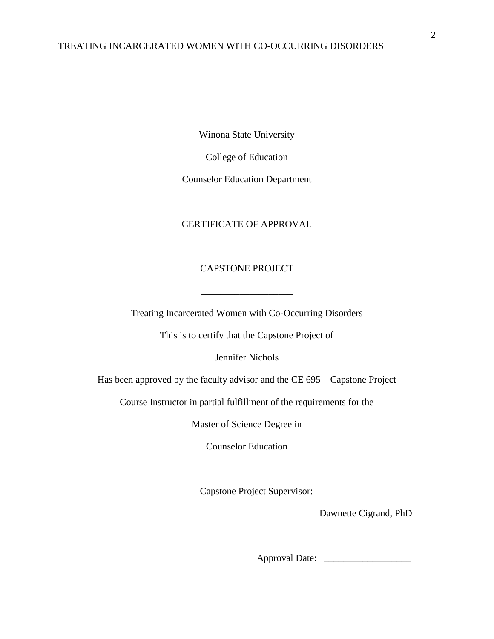Winona State University

College of Education

Counselor Education Department

#### CERTIFICATE OF APPROVAL

\_\_\_\_\_\_\_\_\_\_\_\_\_\_\_\_\_\_\_\_\_\_\_\_\_\_

#### CAPSTONE PROJECT

 $\overline{\phantom{a}}$  ,  $\overline{\phantom{a}}$  ,  $\overline{\phantom{a}}$  ,  $\overline{\phantom{a}}$  ,  $\overline{\phantom{a}}$  ,  $\overline{\phantom{a}}$  ,  $\overline{\phantom{a}}$  ,  $\overline{\phantom{a}}$  ,  $\overline{\phantom{a}}$  ,  $\overline{\phantom{a}}$  ,  $\overline{\phantom{a}}$  ,  $\overline{\phantom{a}}$  ,  $\overline{\phantom{a}}$  ,  $\overline{\phantom{a}}$  ,  $\overline{\phantom{a}}$  ,  $\overline{\phantom{a}}$ 

Treating Incarcerated Women with Co-Occurring Disorders

This is to certify that the Capstone Project of

Jennifer Nichols

Has been approved by the faculty advisor and the CE 695 – Capstone Project

Course Instructor in partial fulfillment of the requirements for the

Master of Science Degree in

Counselor Education

Capstone Project Supervisor: \_\_\_\_\_\_\_\_\_\_\_\_\_\_\_\_\_\_

Dawnette Cigrand, PhD

Approval Date: \_\_\_\_\_\_\_\_\_\_\_\_\_\_\_\_\_\_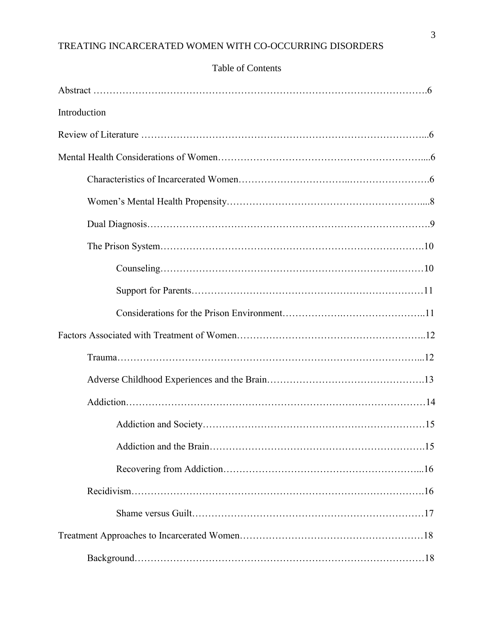## Table of Contents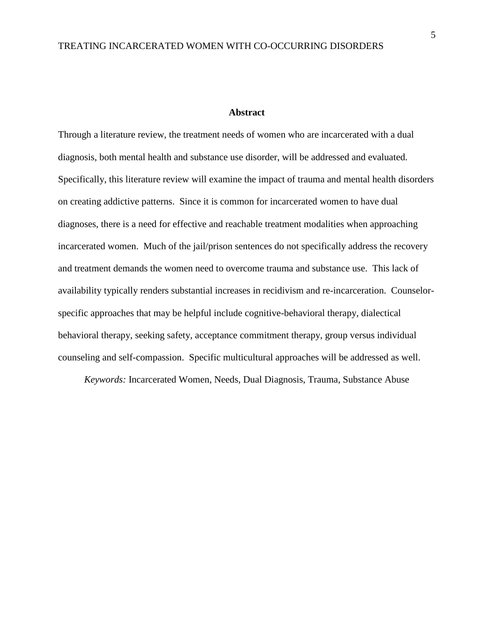#### **Abstract**

Through a literature review, the treatment needs of women who are incarcerated with a dual diagnosis, both mental health and substance use disorder, will be addressed and evaluated. Specifically, this literature review will examine the impact of trauma and mental health disorders on creating addictive patterns. Since it is common for incarcerated women to have dual diagnoses, there is a need for effective and reachable treatment modalities when approaching incarcerated women. Much of the jail/prison sentences do not specifically address the recovery and treatment demands the women need to overcome trauma and substance use. This lack of availability typically renders substantial increases in recidivism and re-incarceration. Counselorspecific approaches that may be helpful include cognitive-behavioral therapy, dialectical behavioral therapy, seeking safety, acceptance commitment therapy, group versus individual counseling and self-compassion. Specific multicultural approaches will be addressed as well.

*Keywords:* Incarcerated Women, Needs, Dual Diagnosis, Trauma, Substance Abuse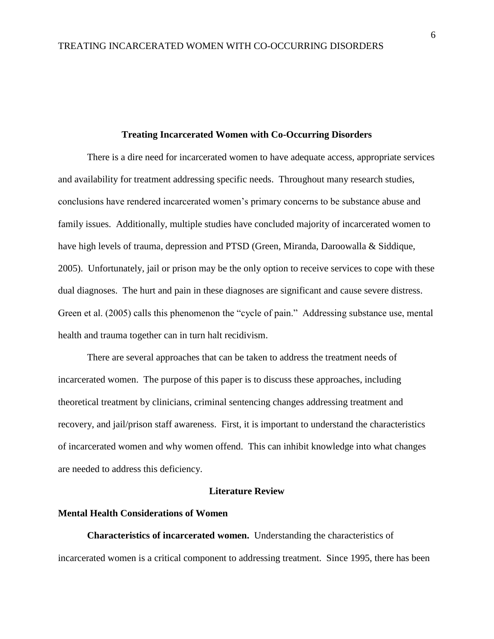#### **Treating Incarcerated Women with Co-Occurring Disorders**

There is a dire need for incarcerated women to have adequate access, appropriate services and availability for treatment addressing specific needs. Throughout many research studies, conclusions have rendered incarcerated women's primary concerns to be substance abuse and family issues. Additionally, multiple studies have concluded majority of incarcerated women to have high levels of trauma, depression and PTSD (Green, Miranda, Daroowalla & Siddique, 2005). Unfortunately, jail or prison may be the only option to receive services to cope with these dual diagnoses. The hurt and pain in these diagnoses are significant and cause severe distress. Green et al. (2005) calls this phenomenon the "cycle of pain." Addressing substance use, mental health and trauma together can in turn halt recidivism.

There are several approaches that can be taken to address the treatment needs of incarcerated women. The purpose of this paper is to discuss these approaches, including theoretical treatment by clinicians, criminal sentencing changes addressing treatment and recovery, and jail/prison staff awareness. First, it is important to understand the characteristics of incarcerated women and why women offend. This can inhibit knowledge into what changes are needed to address this deficiency.

#### **Literature Review**

#### **Mental Health Considerations of Women**

**Characteristics of incarcerated women.** Understanding the characteristics of incarcerated women is a critical component to addressing treatment. Since 1995, there has been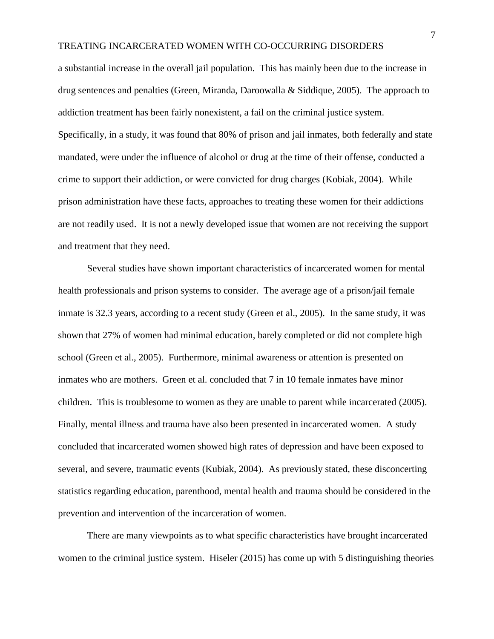a substantial increase in the overall jail population. This has mainly been due to the increase in drug sentences and penalties (Green, Miranda, Daroowalla & Siddique, 2005). The approach to addiction treatment has been fairly nonexistent, a fail on the criminal justice system. Specifically, in a study, it was found that 80% of prison and jail inmates, both federally and state mandated, were under the influence of alcohol or drug at the time of their offense, conducted a crime to support their addiction, or were convicted for drug charges (Kobiak, 2004). While prison administration have these facts, approaches to treating these women for their addictions are not readily used. It is not a newly developed issue that women are not receiving the support and treatment that they need.

Several studies have shown important characteristics of incarcerated women for mental health professionals and prison systems to consider. The average age of a prison/jail female inmate is 32.3 years, according to a recent study (Green et al., 2005). In the same study, it was shown that 27% of women had minimal education, barely completed or did not complete high school (Green et al., 2005). Furthermore, minimal awareness or attention is presented on inmates who are mothers. Green et al. concluded that 7 in 10 female inmates have minor children. This is troublesome to women as they are unable to parent while incarcerated (2005). Finally, mental illness and trauma have also been presented in incarcerated women. A study concluded that incarcerated women showed high rates of depression and have been exposed to several, and severe, traumatic events (Kubiak, 2004). As previously stated, these disconcerting statistics regarding education, parenthood, mental health and trauma should be considered in the prevention and intervention of the incarceration of women.

There are many viewpoints as to what specific characteristics have brought incarcerated women to the criminal justice system. Hiseler (2015) has come up with 5 distinguishing theories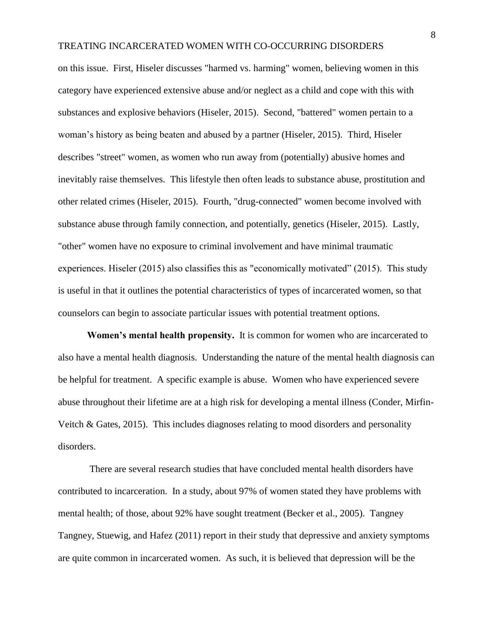on this issue. First, Hiseler discusses "harmed vs. harming" women, believing women in this category have experienced extensive abuse and/or neglect as a child and cope with this with substances and explosive behaviors (Hiseler, 2015). Second, "battered" women pertain to a woman's history as being beaten and abused by a partner (Hiseler, 2015). Third, Hiseler describes "street" women, as women who run away from (potentially) abusive homes and inevitably raise themselves. This lifestyle then often leads to substance abuse, prostitution and other related crimes (Hiseler, 2015). Fourth, "drug-connected" women become involved with substance abuse through family connection, and potentially, genetics (Hiseler, 2015). Lastly, "other" women have no exposure to criminal involvement and have minimal traumatic experiences. Hiseler (2015) also classifies this as "economically motivated" (2015). This study is useful in that it outlines the potential characteristics of types of incarcerated women, so that counselors can begin to associate particular issues with potential treatment options.

**Women's mental health propensity.** It is common for women who are incarcerated to also have a mental health diagnosis. Understanding the nature of the mental health diagnosis can be helpful for treatment. A specific example is abuse. Women who have experienced severe abuse throughout their lifetime are at a high risk for developing a mental illness (Conder, Mirfin-Veitch & Gates, 2015). This includes diagnoses relating to mood disorders and personality disorders.

There are several research studies that have concluded mental health disorders have contributed to incarceration. In a study, about 97% of women stated they have problems with mental health; of those, about 92% have sought treatment (Becker et al., 2005). Tangney Tangney, Stuewig, and Hafez (2011) report in their study that depressive and anxiety symptoms are quite common in incarcerated women. As such, it is believed that depression will be the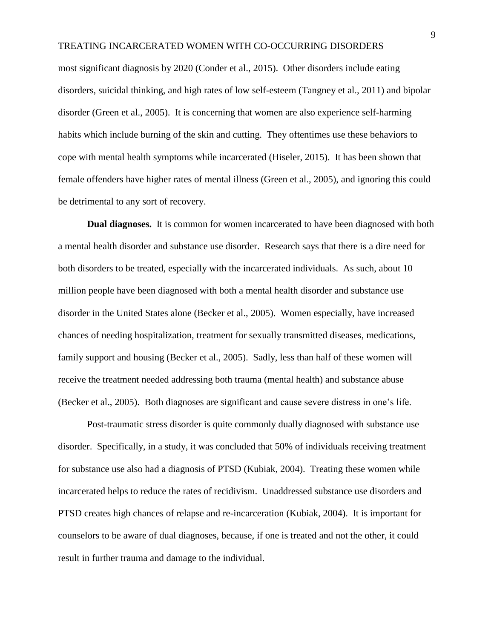most significant diagnosis by 2020 (Conder et al., 2015). Other disorders include eating disorders, suicidal thinking, and high rates of low self-esteem (Tangney et al., 2011) and bipolar disorder (Green et al., 2005). It is concerning that women are also experience self-harming habits which include burning of the skin and cutting. They oftentimes use these behaviors to cope with mental health symptoms while incarcerated (Hiseler, 2015). It has been shown that female offenders have higher rates of mental illness (Green et al., 2005), and ignoring this could be detrimental to any sort of recovery.

**Dual diagnoses.** It is common for women incarcerated to have been diagnosed with both a mental health disorder and substance use disorder. Research says that there is a dire need for both disorders to be treated, especially with the incarcerated individuals. As such, about 10 million people have been diagnosed with both a mental health disorder and substance use disorder in the United States alone (Becker et al., 2005). Women especially, have increased chances of needing hospitalization, treatment for sexually transmitted diseases, medications, family support and housing (Becker et al., 2005). Sadly, less than half of these women will receive the treatment needed addressing both trauma (mental health) and substance abuse (Becker et al., 2005). Both diagnoses are significant and cause severe distress in one's life.

Post-traumatic stress disorder is quite commonly dually diagnosed with substance use disorder. Specifically, in a study, it was concluded that 50% of individuals receiving treatment for substance use also had a diagnosis of PTSD (Kubiak, 2004). Treating these women while incarcerated helps to reduce the rates of recidivism. Unaddressed substance use disorders and PTSD creates high chances of relapse and re-incarceration (Kubiak, 2004). It is important for counselors to be aware of dual diagnoses, because, if one is treated and not the other, it could result in further trauma and damage to the individual.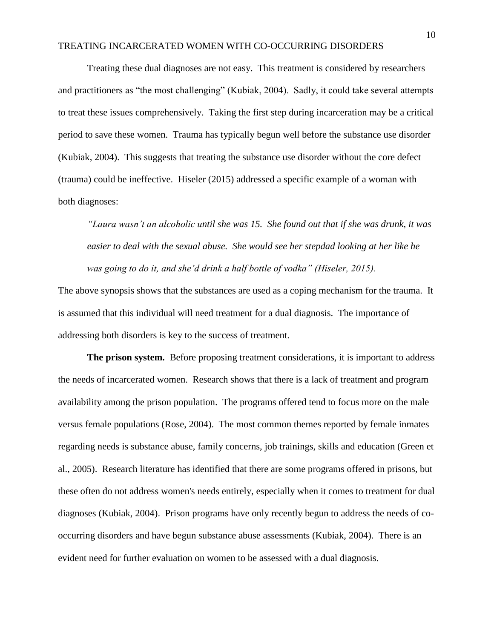Treating these dual diagnoses are not easy. This treatment is considered by researchers and practitioners as "the most challenging" (Kubiak, 2004). Sadly, it could take several attempts to treat these issues comprehensively. Taking the first step during incarceration may be a critical period to save these women. Trauma has typically begun well before the substance use disorder (Kubiak, 2004). This suggests that treating the substance use disorder without the core defect (trauma) could be ineffective. Hiseler (2015) addressed a specific example of a woman with both diagnoses:

*"Laura wasn't an alcoholic until she was 15. She found out that if she was drunk, it was easier to deal with the sexual abuse. She would see her stepdad looking at her like he was going to do it, and she'd drink a half bottle of vodka" (Hiseler, 2015).*

The above synopsis shows that the substances are used as a coping mechanism for the trauma. It is assumed that this individual will need treatment for a dual diagnosis. The importance of addressing both disorders is key to the success of treatment.

**The prison system.** Before proposing treatment considerations, it is important to address the needs of incarcerated women. Research shows that there is a lack of treatment and program availability among the prison population. The programs offered tend to focus more on the male versus female populations (Rose, 2004). The most common themes reported by female inmates regarding needs is substance abuse, family concerns, job trainings, skills and education (Green et al., 2005). Research literature has identified that there are some programs offered in prisons, but these often do not address women's needs entirely, especially when it comes to treatment for dual diagnoses (Kubiak, 2004). Prison programs have only recently begun to address the needs of cooccurring disorders and have begun substance abuse assessments (Kubiak, 2004). There is an evident need for further evaluation on women to be assessed with a dual diagnosis.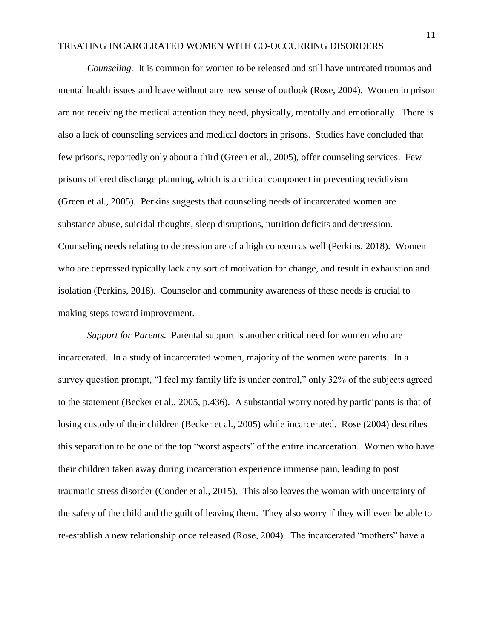*Counseling.*It is common for women to be released and still have untreated traumas and mental health issues and leave without any new sense of outlook (Rose, 2004). Women in prison are not receiving the medical attention they need, physically, mentally and emotionally. There is also a lack of counseling services and medical doctors in prisons. Studies have concluded that few prisons, reportedly only about a third (Green et al., 2005), offer counseling services. Few prisons offered discharge planning, which is a critical component in preventing recidivism (Green et al., 2005). Perkins suggests that counseling needs of incarcerated women are substance abuse, suicidal thoughts, sleep disruptions, nutrition deficits and depression. Counseling needs relating to depression are of a high concern as well (Perkins, 2018). Women who are depressed typically lack any sort of motivation for change, and result in exhaustion and isolation (Perkins, 2018). Counselor and community awareness of these needs is crucial to making steps toward improvement.

*Support for Parents.* Parental support is another critical need for women who are incarcerated. In a study of incarcerated women, majority of the women were parents. In a survey question prompt, "I feel my family life is under control," only 32% of the subjects agreed to the statement (Becker et al., 2005, p.436). A substantial worry noted by participants is that of losing custody of their children (Becker et al., 2005) while incarcerated. Rose (2004) describes this separation to be one of the top "worst aspects" of the entire incarceration. Women who have their children taken away during incarceration experience immense pain, leading to post traumatic stress disorder (Conder et al., 2015). This also leaves the woman with uncertainty of the safety of the child and the guilt of leaving them. They also worry if they will even be able to re-establish a new relationship once released (Rose, 2004). The incarcerated "mothers" have a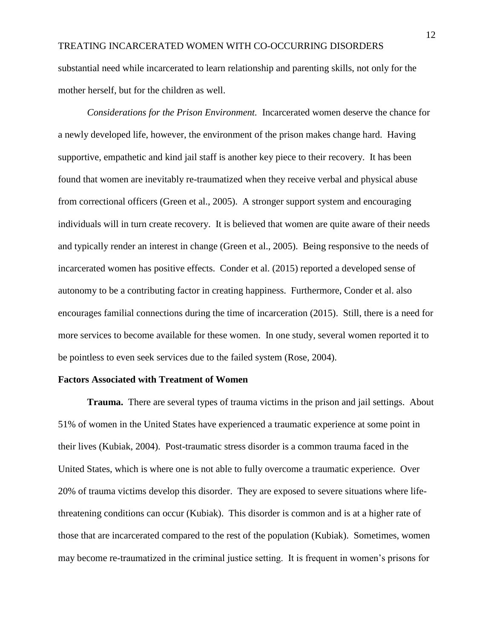substantial need while incarcerated to learn relationship and parenting skills, not only for the mother herself, but for the children as well.

*Considerations for the Prison Environment.* Incarcerated women deserve the chance for a newly developed life, however, the environment of the prison makes change hard. Having supportive, empathetic and kind jail staff is another key piece to their recovery. It has been found that women are inevitably re-traumatized when they receive verbal and physical abuse from correctional officers (Green et al., 2005). A stronger support system and encouraging individuals will in turn create recovery. It is believed that women are quite aware of their needs and typically render an interest in change (Green et al., 2005). Being responsive to the needs of incarcerated women has positive effects. Conder et al. (2015) reported a developed sense of autonomy to be a contributing factor in creating happiness. Furthermore, Conder et al. also encourages familial connections during the time of incarceration (2015). Still, there is a need for more services to become available for these women. In one study, several women reported it to be pointless to even seek services due to the failed system (Rose, 2004).

#### **Factors Associated with Treatment of Women**

**Trauma.** There are several types of trauma victims in the prison and jail settings. About 51% of women in the United States have experienced a traumatic experience at some point in their lives (Kubiak, 2004). Post-traumatic stress disorder is a common trauma faced in the United States, which is where one is not able to fully overcome a traumatic experience. Over 20% of trauma victims develop this disorder. They are exposed to severe situations where lifethreatening conditions can occur (Kubiak). This disorder is common and is at a higher rate of those that are incarcerated compared to the rest of the population (Kubiak). Sometimes, women may become re-traumatized in the criminal justice setting. It is frequent in women's prisons for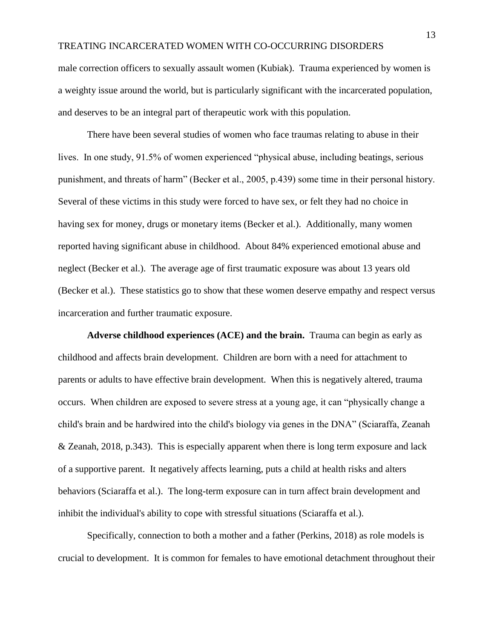male correction officers to sexually assault women (Kubiak). Trauma experienced by women is a weighty issue around the world, but is particularly significant with the incarcerated population, and deserves to be an integral part of therapeutic work with this population.

There have been several studies of women who face traumas relating to abuse in their lives. In one study, 91.5% of women experienced "physical abuse, including beatings, serious punishment, and threats of harm" (Becker et al., 2005, p.439) some time in their personal history. Several of these victims in this study were forced to have sex, or felt they had no choice in having sex for money, drugs or monetary items (Becker et al.). Additionally, many women reported having significant abuse in childhood. About 84% experienced emotional abuse and neglect (Becker et al.). The average age of first traumatic exposure was about 13 years old (Becker et al.). These statistics go to show that these women deserve empathy and respect versus incarceration and further traumatic exposure.

**Adverse childhood experiences (ACE) and the brain.** Trauma can begin as early as childhood and affects brain development. Children are born with a need for attachment to parents or adults to have effective brain development. When this is negatively altered, trauma occurs. When children are exposed to severe stress at a young age, it can "physically change a child's brain and be hardwired into the child's biology via genes in the DNA" (Sciaraffa, Zeanah & Zeanah, 2018, p.343). This is especially apparent when there is long term exposure and lack of a supportive parent. It negatively affects learning, puts a child at health risks and alters behaviors (Sciaraffa et al.). The long-term exposure can in turn affect brain development and inhibit the individual's ability to cope with stressful situations (Sciaraffa et al.).

Specifically, connection to both a mother and a father (Perkins, 2018) as role models is crucial to development. It is common for females to have emotional detachment throughout their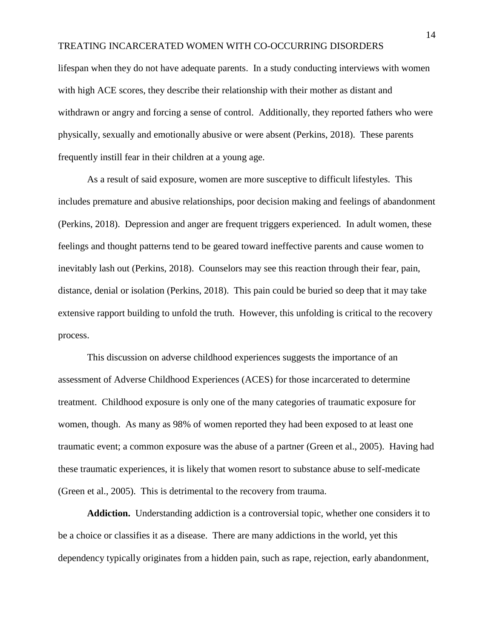lifespan when they do not have adequate parents. In a study conducting interviews with women with high ACE scores, they describe their relationship with their mother as distant and withdrawn or angry and forcing a sense of control. Additionally, they reported fathers who were physically, sexually and emotionally abusive or were absent (Perkins, 2018). These parents frequently instill fear in their children at a young age.

As a result of said exposure, women are more susceptive to difficult lifestyles. This includes premature and abusive relationships, poor decision making and feelings of abandonment (Perkins, 2018). Depression and anger are frequent triggers experienced. In adult women, these feelings and thought patterns tend to be geared toward ineffective parents and cause women to inevitably lash out (Perkins, 2018). Counselors may see this reaction through their fear, pain, distance, denial or isolation (Perkins, 2018). This pain could be buried so deep that it may take extensive rapport building to unfold the truth. However, this unfolding is critical to the recovery process.

This discussion on adverse childhood experiences suggests the importance of an assessment of Adverse Childhood Experiences (ACES) for those incarcerated to determine treatment. Childhood exposure is only one of the many categories of traumatic exposure for women, though. As many as 98% of women reported they had been exposed to at least one traumatic event; a common exposure was the abuse of a partner (Green et al., 2005). Having had these traumatic experiences, it is likely that women resort to substance abuse to self-medicate (Green et al., 2005). This is detrimental to the recovery from trauma.

**Addiction.** Understanding addiction is a controversial topic, whether one considers it to be a choice or classifies it as a disease. There are many addictions in the world, yet this dependency typically originates from a hidden pain, such as rape, rejection, early abandonment,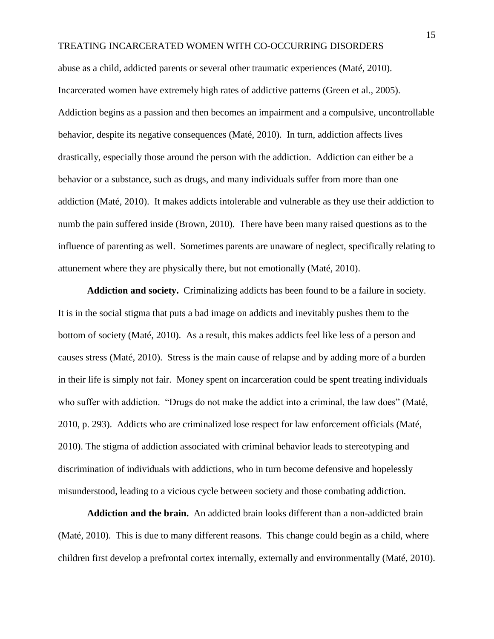abuse as a child, addicted parents or several other traumatic experiences (Maté, 2010). Incarcerated women have extremely high rates of addictive patterns (Green et al., 2005). Addiction begins as a passion and then becomes an impairment and a compulsive, uncontrollable behavior, despite its negative consequences (Maté, 2010). In turn, addiction affects lives drastically, especially those around the person with the addiction. Addiction can either be a behavior or a substance, such as drugs, and many individuals suffer from more than one addiction (Maté, 2010). It makes addicts intolerable and vulnerable as they use their addiction to numb the pain suffered inside (Brown, 2010). There have been many raised questions as to the influence of parenting as well. Sometimes parents are unaware of neglect, specifically relating to attunement where they are physically there, but not emotionally (Maté, 2010).

**Addiction and society.** Criminalizing addicts has been found to be a failure in society. It is in the social stigma that puts a bad image on addicts and inevitably pushes them to the bottom of society (Maté, 2010). As a result, this makes addicts feel like less of a person and causes stress (Maté, 2010). Stress is the main cause of relapse and by adding more of a burden in their life is simply not fair. Money spent on incarceration could be spent treating individuals who suffer with addiction. "Drugs do not make the addict into a criminal, the law does" (Maté, 2010, p. 293). Addicts who are criminalized lose respect for law enforcement officials (Maté, 2010). The stigma of addiction associated with criminal behavior leads to stereotyping and discrimination of individuals with addictions, who in turn become defensive and hopelessly misunderstood, leading to a vicious cycle between society and those combating addiction.

**Addiction and the brain.** An addicted brain looks different than a non-addicted brain (Maté, 2010). This is due to many different reasons. This change could begin as a child, where children first develop a prefrontal cortex internally, externally and environmentally (Maté, 2010).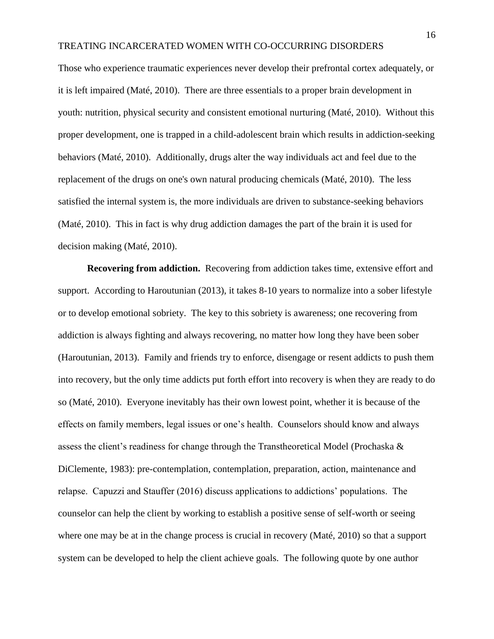Those who experience traumatic experiences never develop their prefrontal cortex adequately, or it is left impaired (Maté, 2010). There are three essentials to a proper brain development in youth: nutrition, physical security and consistent emotional nurturing (Maté, 2010). Without this proper development, one is trapped in a child-adolescent brain which results in addiction-seeking behaviors (Maté, 2010). Additionally, drugs alter the way individuals act and feel due to the replacement of the drugs on one's own natural producing chemicals (Maté, 2010). The less satisfied the internal system is, the more individuals are driven to substance-seeking behaviors (Maté, 2010). This in fact is why drug addiction damages the part of the brain it is used for decision making (Maté, 2010).

**Recovering from addiction.** Recovering from addiction takes time, extensive effort and support. According to Haroutunian (2013), it takes 8-10 years to normalize into a sober lifestyle or to develop emotional sobriety. The key to this sobriety is awareness; one recovering from addiction is always fighting and always recovering, no matter how long they have been sober (Haroutunian, 2013). Family and friends try to enforce, disengage or resent addicts to push them into recovery, but the only time addicts put forth effort into recovery is when they are ready to do so (Maté, 2010). Everyone inevitably has their own lowest point, whether it is because of the effects on family members, legal issues or one's health. Counselors should know and always assess the client's readiness for change through the Transtheoretical Model (Prochaska & DiClemente, 1983): pre-contemplation, contemplation, preparation, action, maintenance and relapse. Capuzzi and Stauffer (2016) discuss applications to addictions' populations. The counselor can help the client by working to establish a positive sense of self-worth or seeing where one may be at in the change process is crucial in recovery (Maté, 2010) so that a support system can be developed to help the client achieve goals. The following quote by one author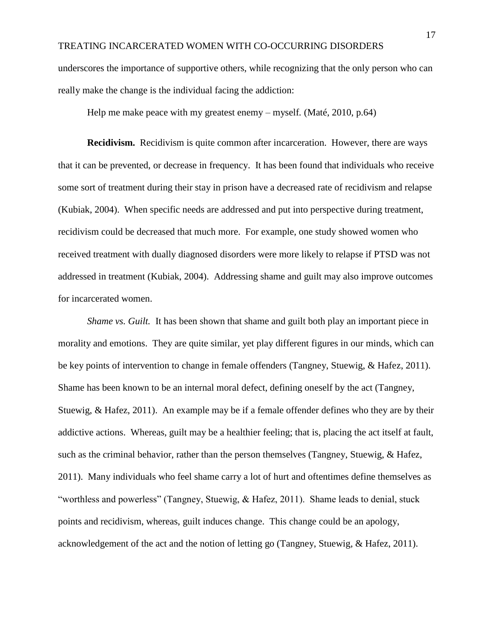underscores the importance of supportive others, while recognizing that the only person who can really make the change is the individual facing the addiction:

Help me make peace with my greatest enemy – myself*.* (Maté, 2010, p.64)

**Recidivism.** Recidivism is quite common after incarceration. However, there are ways that it can be prevented, or decrease in frequency. It has been found that individuals who receive some sort of treatment during their stay in prison have a decreased rate of recidivism and relapse (Kubiak, 2004). When specific needs are addressed and put into perspective during treatment, recidivism could be decreased that much more. For example, one study showed women who received treatment with dually diagnosed disorders were more likely to relapse if PTSD was not addressed in treatment (Kubiak, 2004). Addressing shame and guilt may also improve outcomes for incarcerated women.

*Shame vs. Guilt.* It has been shown that shame and guilt both play an important piece in morality and emotions. They are quite similar, yet play different figures in our minds, which can be key points of intervention to change in female offenders (Tangney, Stuewig, & Hafez, 2011). Shame has been known to be an internal moral defect, defining oneself by the act (Tangney, Stuewig, & Hafez, 2011). An example may be if a female offender defines who they are by their addictive actions. Whereas, guilt may be a healthier feeling; that is, placing the act itself at fault, such as the criminal behavior, rather than the person themselves (Tangney, Stuewig, & Hafez, 2011). Many individuals who feel shame carry a lot of hurt and oftentimes define themselves as "worthless and powerless" (Tangney, Stuewig, & Hafez, 2011). Shame leads to denial, stuck points and recidivism, whereas, guilt induces change. This change could be an apology, acknowledgement of the act and the notion of letting go (Tangney, Stuewig, & Hafez, 2011).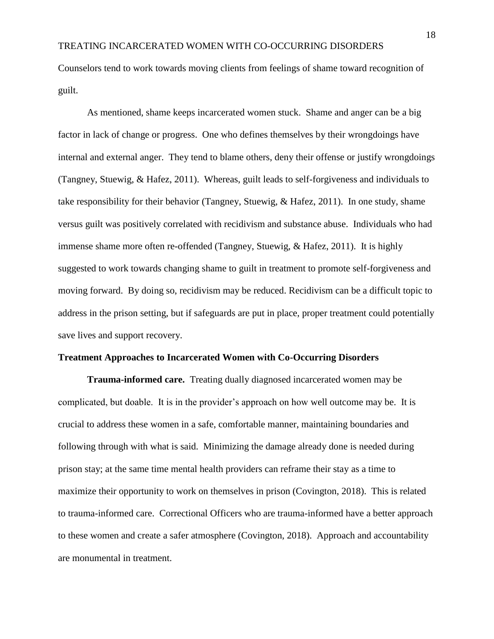Counselors tend to work towards moving clients from feelings of shame toward recognition of guilt.

As mentioned, shame keeps incarcerated women stuck. Shame and anger can be a big factor in lack of change or progress. One who defines themselves by their wrongdoings have internal and external anger. They tend to blame others, deny their offense or justify wrongdoings (Tangney, Stuewig, & Hafez, 2011). Whereas, guilt leads to self-forgiveness and individuals to take responsibility for their behavior (Tangney, Stuewig, & Hafez, 2011). In one study, shame versus guilt was positively correlated with recidivism and substance abuse. Individuals who had immense shame more often re-offended (Tangney, Stuewig, & Hafez, 2011). It is highly suggested to work towards changing shame to guilt in treatment to promote self-forgiveness and moving forward. By doing so, recidivism may be reduced. Recidivism can be a difficult topic to address in the prison setting, but if safeguards are put in place, proper treatment could potentially save lives and support recovery.

#### **Treatment Approaches to Incarcerated Women with Co-Occurring Disorders**

**Trauma-informed care.** Treating dually diagnosed incarcerated women may be complicated, but doable. It is in the provider's approach on how well outcome may be. It is crucial to address these women in a safe, comfortable manner, maintaining boundaries and following through with what is said. Minimizing the damage already done is needed during prison stay; at the same time mental health providers can reframe their stay as a time to maximize their opportunity to work on themselves in prison (Covington, 2018). This is related to trauma-informed care. Correctional Officers who are trauma-informed have a better approach to these women and create a safer atmosphere (Covington, 2018). Approach and accountability are monumental in treatment.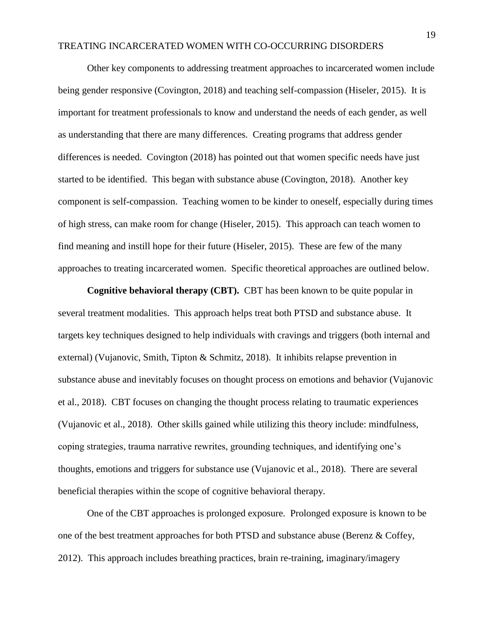Other key components to addressing treatment approaches to incarcerated women include being gender responsive (Covington, 2018) and teaching self-compassion (Hiseler, 2015). It is important for treatment professionals to know and understand the needs of each gender, as well as understanding that there are many differences. Creating programs that address gender differences is needed. Covington (2018) has pointed out that women specific needs have just started to be identified. This began with substance abuse (Covington, 2018). Another key component is self-compassion. Teaching women to be kinder to oneself, especially during times of high stress, can make room for change (Hiseler, 2015). This approach can teach women to find meaning and instill hope for their future (Hiseler, 2015). These are few of the many approaches to treating incarcerated women. Specific theoretical approaches are outlined below.

**Cognitive behavioral therapy (CBT).** CBT has been known to be quite popular in several treatment modalities. This approach helps treat both PTSD and substance abuse. It targets key techniques designed to help individuals with cravings and triggers (both internal and external) (Vujanovic, Smith, Tipton & Schmitz, 2018). It inhibits relapse prevention in substance abuse and inevitably focuses on thought process on emotions and behavior (Vujanovic et al., 2018). CBT focuses on changing the thought process relating to traumatic experiences (Vujanovic et al., 2018). Other skills gained while utilizing this theory include: mindfulness, coping strategies, trauma narrative rewrites, grounding techniques, and identifying one's thoughts, emotions and triggers for substance use (Vujanovic et al., 2018). There are several beneficial therapies within the scope of cognitive behavioral therapy.

One of the CBT approaches is prolonged exposure. Prolonged exposure is known to be one of the best treatment approaches for both PTSD and substance abuse (Berenz & Coffey, 2012). This approach includes breathing practices, brain re-training, imaginary/imagery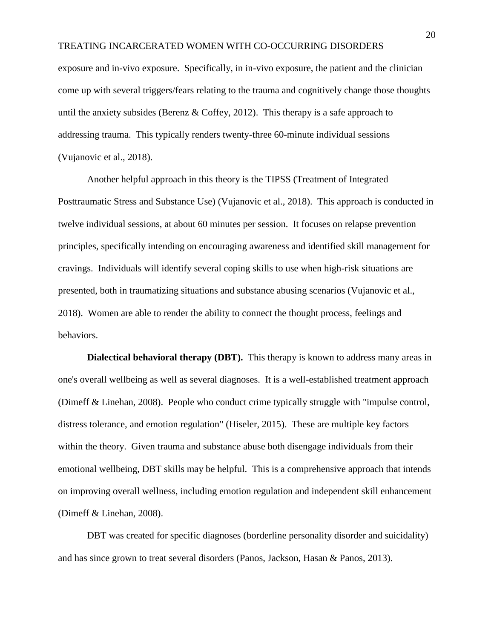exposure and in-vivo exposure. Specifically, in in-vivo exposure, the patient and the clinician come up with several triggers/fears relating to the trauma and cognitively change those thoughts until the anxiety subsides (Berenz & Coffey, 2012). This therapy is a safe approach to addressing trauma. This typically renders twenty-three 60-minute individual sessions (Vujanovic et al., 2018).

Another helpful approach in this theory is the TIPSS (Treatment of Integrated Posttraumatic Stress and Substance Use) (Vujanovic et al., 2018). This approach is conducted in twelve individual sessions, at about 60 minutes per session. It focuses on relapse prevention principles, specifically intending on encouraging awareness and identified skill management for cravings. Individuals will identify several coping skills to use when high-risk situations are presented, both in traumatizing situations and substance abusing scenarios (Vujanovic et al., 2018). Women are able to render the ability to connect the thought process, feelings and behaviors.

**Dialectical behavioral therapy (DBT).** This therapy is known to address many areas in one's overall wellbeing as well as several diagnoses. It is a well-established treatment approach (Dimeff & Linehan, 2008). People who conduct crime typically struggle with "impulse control, distress tolerance, and emotion regulation" (Hiseler, 2015). These are multiple key factors within the theory. Given trauma and substance abuse both disengage individuals from their emotional wellbeing, DBT skills may be helpful. This is a comprehensive approach that intends on improving overall wellness, including emotion regulation and independent skill enhancement (Dimeff & Linehan, 2008).

DBT was created for specific diagnoses (borderline personality disorder and suicidality) and has since grown to treat several disorders (Panos, Jackson, Hasan & Panos, 2013).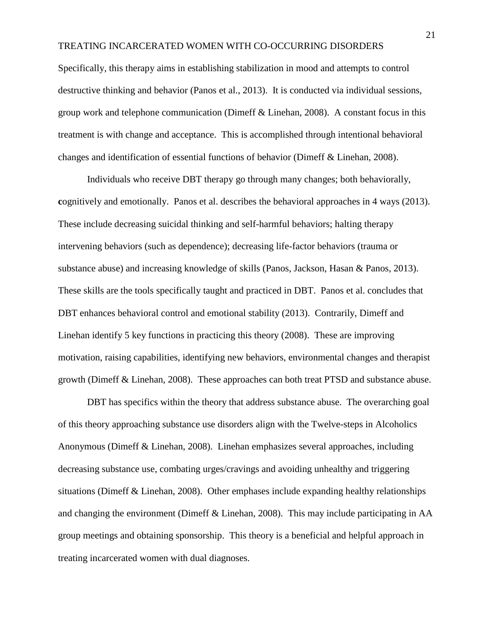Specifically, this therapy aims in establishing stabilization in mood and attempts to control destructive thinking and behavior (Panos et al., 2013). It is conducted via individual sessions, group work and telephone communication (Dimeff & Linehan, 2008). A constant focus in this treatment is with change and acceptance. This is accomplished through intentional behavioral changes and identification of essential functions of behavior (Dimeff & Linehan, 2008).

Individuals who receive DBT therapy go through many changes; both behaviorally, **cognitively and emotionally.** Panos et al. describes the behavioral approaches in 4 ways (2013). These include decreasing suicidal thinking and self-harmful behaviors; halting therapy intervening behaviors (such as dependence); decreasing life-factor behaviors (trauma or substance abuse) and increasing knowledge of skills (Panos, Jackson, Hasan & Panos, 2013). These skills are the tools specifically taught and practiced in DBT. Panos et al. concludes that DBT enhances behavioral control and emotional stability (2013). Contrarily, Dimeff and Linehan identify 5 key functions in practicing this theory (2008). These are improving motivation, raising capabilities, identifying new behaviors, environmental changes and therapist growth (Dimeff & Linehan, 2008). These approaches can both treat PTSD and substance abuse.

DBT has specifics within the theory that address substance abuse. The overarching goal of this theory approaching substance use disorders align with the Twelve-steps in Alcoholics Anonymous (Dimeff & Linehan, 2008). Linehan emphasizes several approaches, including decreasing substance use, combating urges/cravings and avoiding unhealthy and triggering situations (Dimeff  $\&$  Linehan, 2008). Other emphases include expanding healthy relationships and changing the environment (Dimeff & Linehan, 2008). This may include participating in AA group meetings and obtaining sponsorship. This theory is a beneficial and helpful approach in treating incarcerated women with dual diagnoses.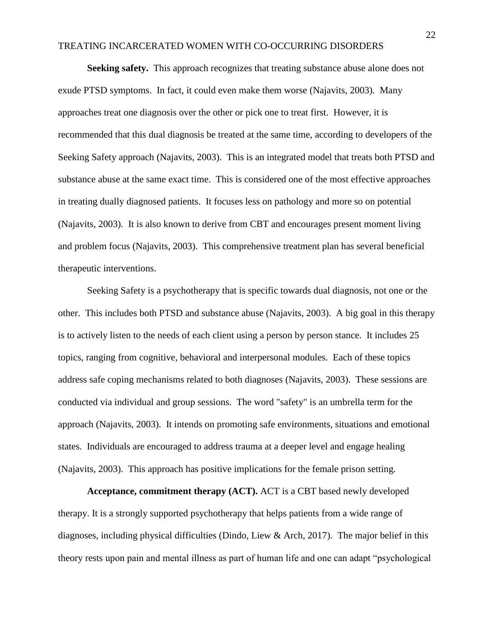**Seeking safety.** This approach recognizes that treating substance abuse alone does not exude PTSD symptoms. In fact, it could even make them worse (Najavits, 2003). Many approaches treat one diagnosis over the other or pick one to treat first. However, it is recommended that this dual diagnosis be treated at the same time, according to developers of the Seeking Safety approach (Najavits, 2003). This is an integrated model that treats both PTSD and substance abuse at the same exact time. This is considered one of the most effective approaches in treating dually diagnosed patients. It focuses less on pathology and more so on potential (Najavits, 2003). It is also known to derive from CBT and encourages present moment living and problem focus (Najavits, 2003). This comprehensive treatment plan has several beneficial therapeutic interventions.

Seeking Safety is a psychotherapy that is specific towards dual diagnosis, not one or the other. This includes both PTSD and substance abuse (Najavits, 2003). A big goal in this therapy is to actively listen to the needs of each client using a person by person stance. It includes 25 topics, ranging from cognitive, behavioral and interpersonal modules. Each of these topics address safe coping mechanisms related to both diagnoses (Najavits, 2003). These sessions are conducted via individual and group sessions. The word "safety" is an umbrella term for the approach (Najavits, 2003). It intends on promoting safe environments, situations and emotional states. Individuals are encouraged to address trauma at a deeper level and engage healing (Najavits, 2003). This approach has positive implications for the female prison setting.

**Acceptance, commitment therapy (ACT).** ACT is a CBT based newly developed therapy. It is a strongly supported psychotherapy that helps patients from a wide range of diagnoses, including physical difficulties (Dindo, Liew & Arch, 2017). The major belief in this theory rests upon pain and mental illness as part of human life and one can adapt "psychological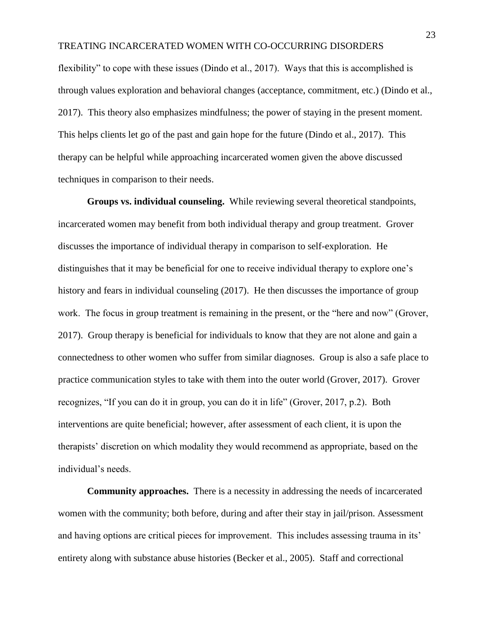flexibility" to cope with these issues (Dindo et al., 2017). Ways that this is accomplished is through values exploration and behavioral changes (acceptance, commitment, etc.) (Dindo et al., 2017). This theory also emphasizes mindfulness; the power of staying in the present moment. This helps clients let go of the past and gain hope for the future (Dindo et al., 2017). This therapy can be helpful while approaching incarcerated women given the above discussed techniques in comparison to their needs.

**Groups vs. individual counseling.** While reviewing several theoretical standpoints, incarcerated women may benefit from both individual therapy and group treatment. Grover discusses the importance of individual therapy in comparison to self-exploration. He distinguishes that it may be beneficial for one to receive individual therapy to explore one's history and fears in individual counseling (2017). He then discusses the importance of group work. The focus in group treatment is remaining in the present, or the "here and now" (Grover, 2017). Group therapy is beneficial for individuals to know that they are not alone and gain a connectedness to other women who suffer from similar diagnoses. Group is also a safe place to practice communication styles to take with them into the outer world (Grover, 2017). Grover recognizes, "If you can do it in group, you can do it in life" (Grover, 2017, p.2). Both interventions are quite beneficial; however, after assessment of each client, it is upon the therapists' discretion on which modality they would recommend as appropriate, based on the individual's needs.

**Community approaches.** There is a necessity in addressing the needs of incarcerated women with the community; both before, during and after their stay in jail/prison. Assessment and having options are critical pieces for improvement. This includes assessing trauma in its' entirety along with substance abuse histories (Becker et al., 2005). Staff and correctional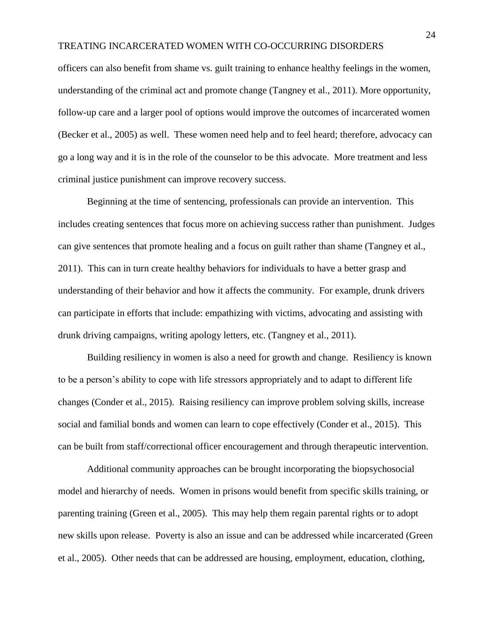officers can also benefit from shame vs. guilt training to enhance healthy feelings in the women, understanding of the criminal act and promote change (Tangney et al., 2011). More opportunity, follow-up care and a larger pool of options would improve the outcomes of incarcerated women (Becker et al., 2005) as well. These women need help and to feel heard; therefore, advocacy can go a long way and it is in the role of the counselor to be this advocate. More treatment and less criminal justice punishment can improve recovery success.

Beginning at the time of sentencing, professionals can provide an intervention. This includes creating sentences that focus more on achieving success rather than punishment. Judges can give sentences that promote healing and a focus on guilt rather than shame (Tangney et al., 2011). This can in turn create healthy behaviors for individuals to have a better grasp and understanding of their behavior and how it affects the community. For example, drunk drivers can participate in efforts that include: empathizing with victims, advocating and assisting with drunk driving campaigns, writing apology letters, etc. (Tangney et al., 2011).

Building resiliency in women is also a need for growth and change. Resiliency is known to be a person's ability to cope with life stressors appropriately and to adapt to different life changes (Conder et al., 2015). Raising resiliency can improve problem solving skills, increase social and familial bonds and women can learn to cope effectively (Conder et al., 2015). This can be built from staff/correctional officer encouragement and through therapeutic intervention.

Additional community approaches can be brought incorporating the biopsychosocial model and hierarchy of needs. Women in prisons would benefit from specific skills training, or parenting training (Green et al., 2005). This may help them regain parental rights or to adopt new skills upon release. Poverty is also an issue and can be addressed while incarcerated (Green et al., 2005). Other needs that can be addressed are housing, employment, education, clothing,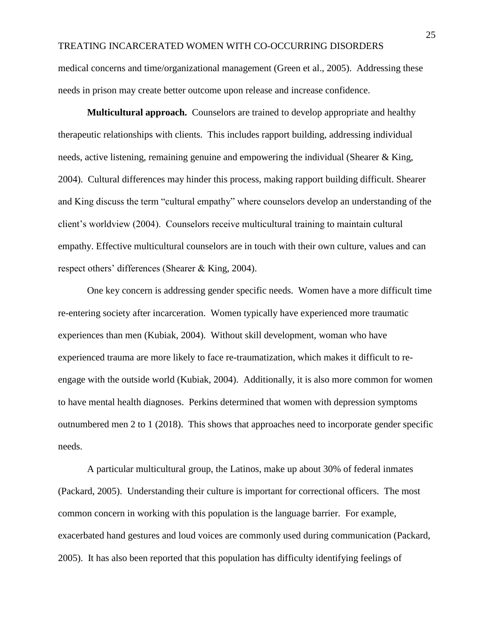medical concerns and time/organizational management (Green et al., 2005). Addressing these needs in prison may create better outcome upon release and increase confidence.

**Multicultural approach.** Counselors are trained to develop appropriate and healthy therapeutic relationships with clients. This includes rapport building, addressing individual needs, active listening, remaining genuine and empowering the individual (Shearer & King, 2004). Cultural differences may hinder this process, making rapport building difficult. Shearer and King discuss the term "cultural empathy" where counselors develop an understanding of the client's worldview (2004). Counselors receive multicultural training to maintain cultural empathy. Effective multicultural counselors are in touch with their own culture, values and can respect others' differences (Shearer & King, 2004).

One key concern is addressing gender specific needs. Women have a more difficult time re-entering society after incarceration. Women typically have experienced more traumatic experiences than men (Kubiak, 2004). Without skill development, woman who have experienced trauma are more likely to face re-traumatization, which makes it difficult to reengage with the outside world (Kubiak, 2004). Additionally, it is also more common for women to have mental health diagnoses. Perkins determined that women with depression symptoms outnumbered men 2 to 1 (2018). This shows that approaches need to incorporate gender specific needs.

A particular multicultural group, the Latinos, make up about 30% of federal inmates (Packard, 2005). Understanding their culture is important for correctional officers. The most common concern in working with this population is the language barrier. For example, exacerbated hand gestures and loud voices are commonly used during communication (Packard, 2005). It has also been reported that this population has difficulty identifying feelings of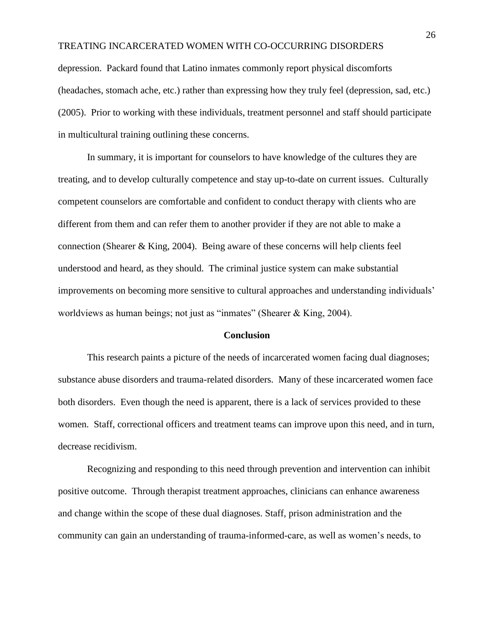depression. Packard found that Latino inmates commonly report physical discomforts (headaches, stomach ache, etc.) rather than expressing how they truly feel (depression, sad, etc.) (2005). Prior to working with these individuals, treatment personnel and staff should participate in multicultural training outlining these concerns.

In summary, it is important for counselors to have knowledge of the cultures they are treating, and to develop culturally competence and stay up-to-date on current issues. Culturally competent counselors are comfortable and confident to conduct therapy with clients who are different from them and can refer them to another provider if they are not able to make a connection (Shearer & King, 2004). Being aware of these concerns will help clients feel understood and heard, as they should. The criminal justice system can make substantial improvements on becoming more sensitive to cultural approaches and understanding individuals' worldviews as human beings; not just as "inmates" (Shearer & King, 2004).

#### **Conclusion**

This research paints a picture of the needs of incarcerated women facing dual diagnoses; substance abuse disorders and trauma-related disorders. Many of these incarcerated women face both disorders. Even though the need is apparent, there is a lack of services provided to these women. Staff, correctional officers and treatment teams can improve upon this need, and in turn, decrease recidivism.

Recognizing and responding to this need through prevention and intervention can inhibit positive outcome. Through therapist treatment approaches, clinicians can enhance awareness and change within the scope of these dual diagnoses. Staff, prison administration and the community can gain an understanding of trauma-informed-care, as well as women's needs, to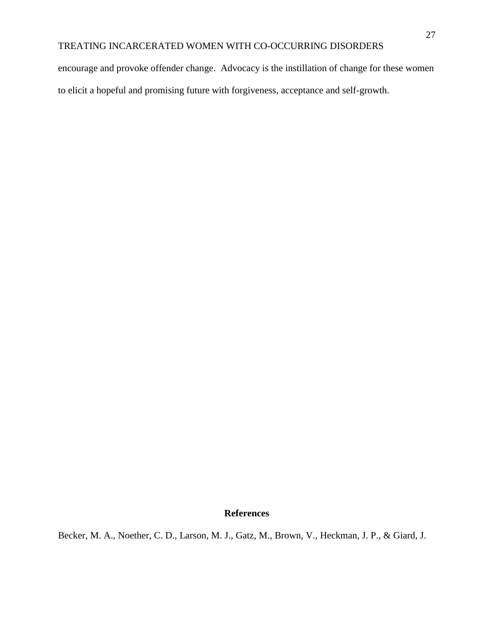encourage and provoke offender change. Advocacy is the instillation of change for these women to elicit a hopeful and promising future with forgiveness, acceptance and self-growth.

#### **References**

Becker, M. A., Noether, C. D., Larson, M. J., Gatz, M., Brown, V., Heckman, J. P., & Giard, J.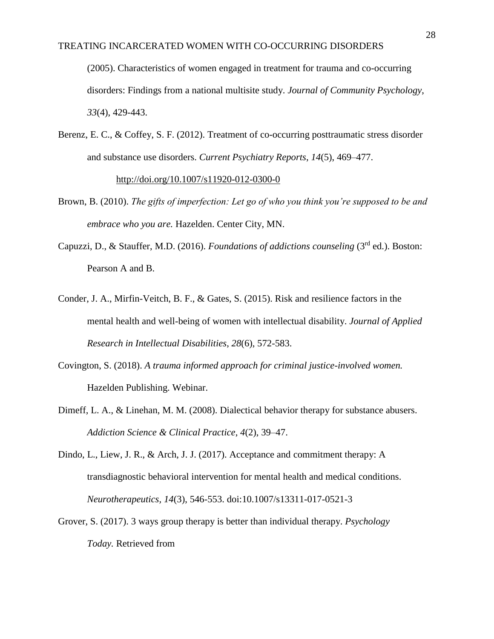(2005). Characteristics of women engaged in treatment for trauma and co-occurring disorders: Findings from a national multisite study. *Journal of Community Psychology*, *33*(4), 429-443.

Berenz, E. C., & Coffey, S. F. (2012). Treatment of co-occurring posttraumatic stress disorder and substance use disorders. *Current Psychiatry Reports*, *14*(5), 469–477.

<http://doi.org/10.1007/s11920-012-0300-0>

- Brown, B. (2010). *The gifts of imperfection: Let go of who you think you're supposed to be and embrace who you are.* Hazelden. Center City, MN.
- Capuzzi, D., & Stauffer, M.D. (2016). *Foundations of addictions counseling* (3rd ed.). Boston: Pearson A and B.
- Conder, J. A., Mirfin-Veitch, B. F., & Gates, S. (2015). Risk and resilience factors in the mental health and well-being of women with intellectual disability. *Journal of Applied Research in Intellectual Disabilities*, *28*(6), 572-583.
- Covington, S. (2018). *A trauma informed approach for criminal justice-involved women.* Hazelden Publishing. Webinar.
- Dimeff, L. A., & Linehan, M. M. (2008). Dialectical behavior therapy for substance abusers. *Addiction Science & Clinical Practice*, *4*(2), 39–47.
- Dindo, L., Liew, J. R., & Arch, J. J. (2017). Acceptance and commitment therapy: A transdiagnostic behavioral intervention for mental health and medical conditions. *Neurotherapeutics, 14*(3), 546-553. doi:10.1007/s13311-017-0521-3
- Grover, S. (2017). 3 ways group therapy is better than individual therapy. *Psychology Today.* Retrieved from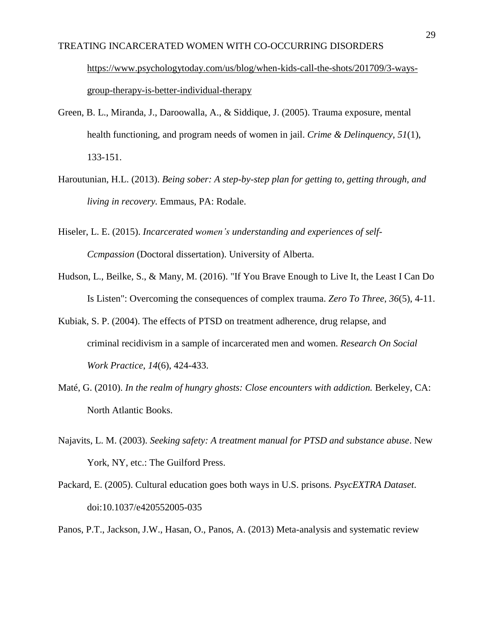## TREATING INCARCERATED WOMEN WITH CO-OCCURRING DISORDERS [https://www.psychologytoday.com/us/blog/when-kids-call-the-shots/201709/3-ways](https://www.psychologytoday.com/us/blog/when-kids-call-the-shots/201709/3-ways-group-therapy-is-better-individual-therapy)[group-therapy-is-better-individual-therapy](https://www.psychologytoday.com/us/blog/when-kids-call-the-shots/201709/3-ways-group-therapy-is-better-individual-therapy)

- Green, B. L., Miranda, J., Daroowalla, A., & Siddique, J. (2005). Trauma exposure, mental health functioning, and program needs of women in jail. *Crime & Delinquency*, *51*(1), 133-151.
- Haroutunian, H.L. (2013). *Being sober: A step-by-step plan for getting to, getting through, and living in recovery.* Emmaus, PA: Rodale.
- Hiseler, L. E. (2015). *Incarcerated women's understanding and experiences of self-Ccmpassion* (Doctoral dissertation). University of Alberta.
- Hudson, L., Beilke, S., & Many, M. (2016). "If You Brave Enough to Live It, the Least I Can Do Is Listen": Overcoming the consequences of complex trauma. *Zero To Three*, *36*(5), 4-11.
- Kubiak, S. P. (2004). The effects of PTSD on treatment adherence, drug relapse, and criminal recidivism in a sample of incarcerated men and women. *Research On Social Work Practice*, *14*(6), 424-433.
- Maté, G. (2010). *In the realm of hungry ghosts: Close encounters with addiction*. Berkeley, CA: North Atlantic Books.
- Najavits, L. M. (2003). *Seeking safety: A treatment manual for PTSD and substance abuse*. New York, NY, etc.: The Guilford Press.
- Packard, E. (2005). Cultural education goes both ways in U.S. prisons. *PsycEXTRA Dataset*. doi:10.1037/e420552005-035
- Panos, P.T., Jackson, J.W., Hasan, O., Panos, A. (2013) Meta-analysis and systematic review